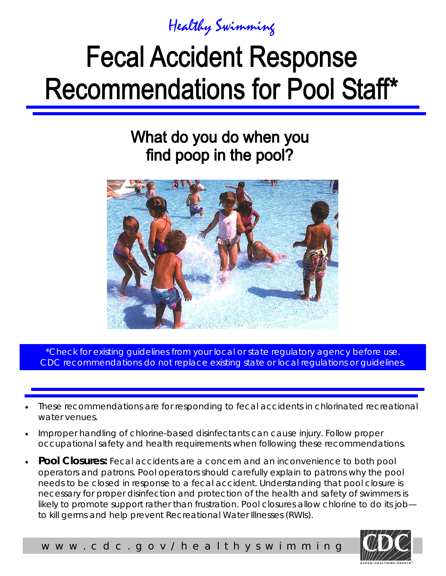

# **Fecal Accident Response Recommendations for Pool Staff\***

### What do you do when you find poop in the pool?



i CDC recommendations do not replace existing state or local regulations or guidelines. \*Check for existing quidelines from your local or state regulatory agency before use.

- These recommendations are for responding to fecal accidents in chlorinated recreational water venues.
- Improper handling of chlorine-based disinfectants can cause injury. Follow proper occupational safety and health requirements when following these recommendations.
- **Pool Closures:** Fecal accidents are a concern and an inconvenience to both pool operators and patrons. Pool operators should carefully explain to patrons why the pool needs to be closed in response to a fecal accident. Understanding that pool closure is necessary for proper disinfection and protection of the health and safety of swimmers is likely to promote support rather than frustration. Pool closures allow chlorine to do its job to kill germs and help prevent Recreational Water Illnesses (RWIs).



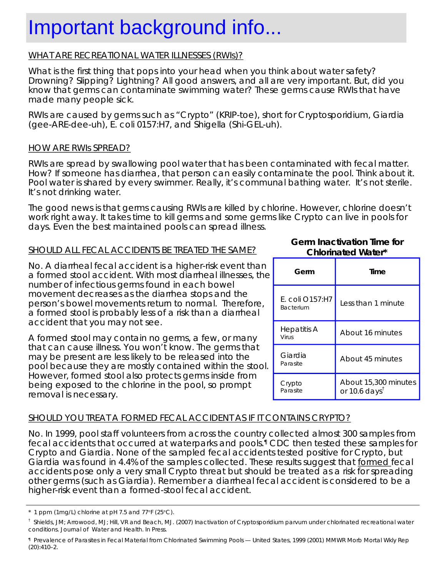### Important background info...

#### WHAT ARE RECREATIONAL WATER ILLNESSES (RWIs)?

What is the first thing that pops into your head when you think about water safety? Drowning? Slipping? Lightning? All good answers, and all are very important. But, did you know that germs can contaminate swimming water? These germs cause RWIs that have made many people sick.

RWIs are caused by germs such as "Crypto" (KRIP-toe), short for *Cryptosporidium*, *Giardia*  (gee-ARE-dee-uh), *E. coli* 0157:H7, and *Shigella* (Shi-GEL-uh).

#### HOW ARE RWIs SPREAD?

RWIs are spread by swallowing pool water that has been contaminated with fecal matter. How? If someone has diarrhea, that person can easily contaminate the pool. Think about it. Pool water is shared by every swimmer. Really, it's communal bathing water. It's not sterile. It's not drinking water.

The good news is that germs causing RWIs are killed by chlorine. However, chlorine doesn't work right away. It takes time to kill germs and some germs like Crypto can live in pools for days. Even the best maintained pools can spread illness.

#### SHOULD ALL FECAL ACCIDENTS BE TREATED THE SAME? **Chlorinated Water\***

No. A diarrheal fecal accident is a higher-risk event than a formed stool accident. With most diarrheal illnesses, the number of infectious germs found in each bowel movement decreases as the diarrhea stops and the person's bowel movements return to normal. Therefore, a formed stool is probably less of a risk than a diarrheal accident that you may not see.

A formed stool may contain no germs, a few, or many that can cause illness. You won't know. The germs that may be present are less likely to be released into the pool because they are mostly contained within the stool. However, formed stool also protects germs inside from being exposed to the chlorine in the pool, so prompt removal is necessary.

### **Germ Inactivation Time for**

| Germ                                   | Time                                              |
|----------------------------------------|---------------------------------------------------|
| E. coli $O157$ :H7<br><b>Bacterium</b> | Less than 1 minute                                |
| Hepatitis A<br>Virus                   | About 16 minutes                                  |
| Giardia<br>Parasite                    | About 45 minutes                                  |
| Crypto<br>Parasite                     | About 15,300 minutes<br>or 10.6 days <sup>t</sup> |

#### SHOULD YOU TREAT A FORMED FECAL ACCIDENT AS IF IT CONTAINS CRYPTO?

No. In 1999, pool staff volunteers from across the country collected almost 300 samples from fecal accidents that occurred at waterparks and pools.¶ CDC then tested these samples for Crypto and *Giardia*. None of the sampled fecal accidents tested positive for Crypto, but *Giardia* was found in 4.4% of the samples collected. These results suggest that formed fecal accidents pose only a very small Crypto threat but should be treated as a risk for spreading other germs (such as *Giardia*). Remember a diarrheal fecal accident is considered to be a higher-risk event than a formed-stool fecal accident.

<sup>\* 1</sup> ppm (1mg/L) chlorine at pH 7.5 and 77°F (25°C).

<sup>†</sup> Shields, JM; Arrowood, MJ; Hill, VR and Beach, MJ. (2007) Inactivation of *Cryptosporidium parvum* under chlorinated recreational water conditions. Journal of Water and Health. In Press.

<sup>¶</sup> Prevalence of Parasites in Fecal Material from Chlorinated Swimming Pools — United States, 1999 (2001) MMWR Morb Mortal Wkly Rep (20):410–2.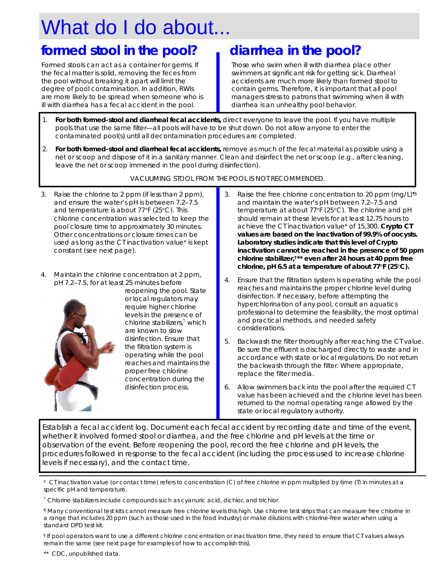## What do I do about...

### formed stool in the pool? **a** diarrhea in the pool?

Formed stools can act as a container for germs. If the fecal matter is solid, removing the feces from the pool without breaking it apart will limit the degree of pool contamination. In addition, RWIs ill with diarrhea has a fecal accident in the pool. are more likely to be spread when someone who is

Those who swim when ill with diarrhea place other swimmers at significant risk for getting sick. Diarrheal contain germs. Therefore, it is important that all pool managers stress to patrons that swimming when ill with diarrhea is an unhealthy pool behavior. accidents are much more likely than formed stool to

- 1. **For both formed-stool and diarrheal fecal accidents**, direct everyone to leave the pool. If you have multiple pools that use the same filter—all pools will have to be shut down. Do not allow anyone to enter the contaminated pool(s) until all decontamination procedures are completed.
- 2. **For both formed-stool and diarrheal fecal accidents**, remove as much of the fecal material as possible using a net or scoop and dispose of it in a sanitary manner. Clean and disinfect the net or scoop (e.g., after cleaning, leave the net or scoop immersed in the pool during disinfection).

VACUUMING STOOL FROM THE POOL IS NOT RECOMMENDED.

- 3. Raise the chlorine to 2 ppm (if less than 2 ppm), and ensure the water's pH is between 7.2-7.5 and temperature is about 77°F (25°C). This chlorine concentration was selected to keep the pool closure time to approximately 30 minutes. Other concentrations or closure times can be used as long as the CT inactivation value\* is kept constant (see next page).
- 4. Maintain the chlorine concentration at 2 ppm, pH 7.2-7.5, for at least 25 minutes before



require higher chlorine chlorine stabilizers,<sup>†</sup> which disinfection. Ensure that the filtration system is operating while the pool reaches and maintains the proper free chlorine concentration during the disinfection process. reopening the pool. State or local regulators may levels in the presence of are known to slow

- 3. Raise the free chlorine concentration to 20 ppm (mg/L)<sup>195</sup> and maintain the water's pH between 7.2-7.5 and temperature at about 77°F (25°C). The chlorine and pH i achieve the CT inactivation value\* of 15,300. Crypto CT **values are based on the inactivation of 99.9% of oocysts. Laboratory studies indicate that this level of Crypto inactivation cannot be reached in the presence of 50 ppm chlorine stabilizer,†\*\* even after 24 hours at 40 ppm free chlorine, pH 6.5 at a temperature of about 77°F (25°C).**  should remain at these levels for at least 12.75 hours to
- 4. Ensure that the filtration system is operating while the pool reaches and maintains the proper chlorine level during disinfection. If necessary, before attempting the professional to determine the feasibility, the most optimal hyperchlorination of any pool, consult an aquatics and practical methods, and needed safety considerations.
- 5. Backwash the filter thoroughly after reaching the CT value. Be sure the effluent is discharged directly to waste and in accordance with state or local regulations. Do not return l the backwash through the filter. Where appropriate, replace the filter media.
- 6. Allow swimmers back into the pool after the required CT l l state or local regulatory authority. value has been achieved and the chlorine level has been returned to the normal operating range allowed by the

Establish a fecal accident log. Document each fecal accident by recording date and time of the event, whether it involved formed stool or diarrhea, and the free chlorine and pH levels at the time or i procedures followed in response to the fecal accident (including the process used to increase chlorine levels if necessary), and the contact time. observation of the event. Before reopening the pool, record the free chlorine and pH levels, the

\* CT inactivation value (or contact time) refers to concentration (C) of free chlorine in ppm multiplied by time (T) in minutes at a specific pH and temperature.

† Chlorine stabilizers include compounds such as cyanuric acid, dichlor, and trichlor.

¶ Many conventional test kits cannot measure free chlorine levels this high. Use chlorine test strips that can measure free chlorine in a range that includes 20 ppm (such as those used in the food industry) or make dilutions with chlorine-free water when using a standard DPD test kit.

§ If pool operators want to use a different chlorine concentration or inactivation time, they need to ensure that CT values always remain the same (see next page for examples of how to accomplish this).

\*\* CDC, unpublished data.